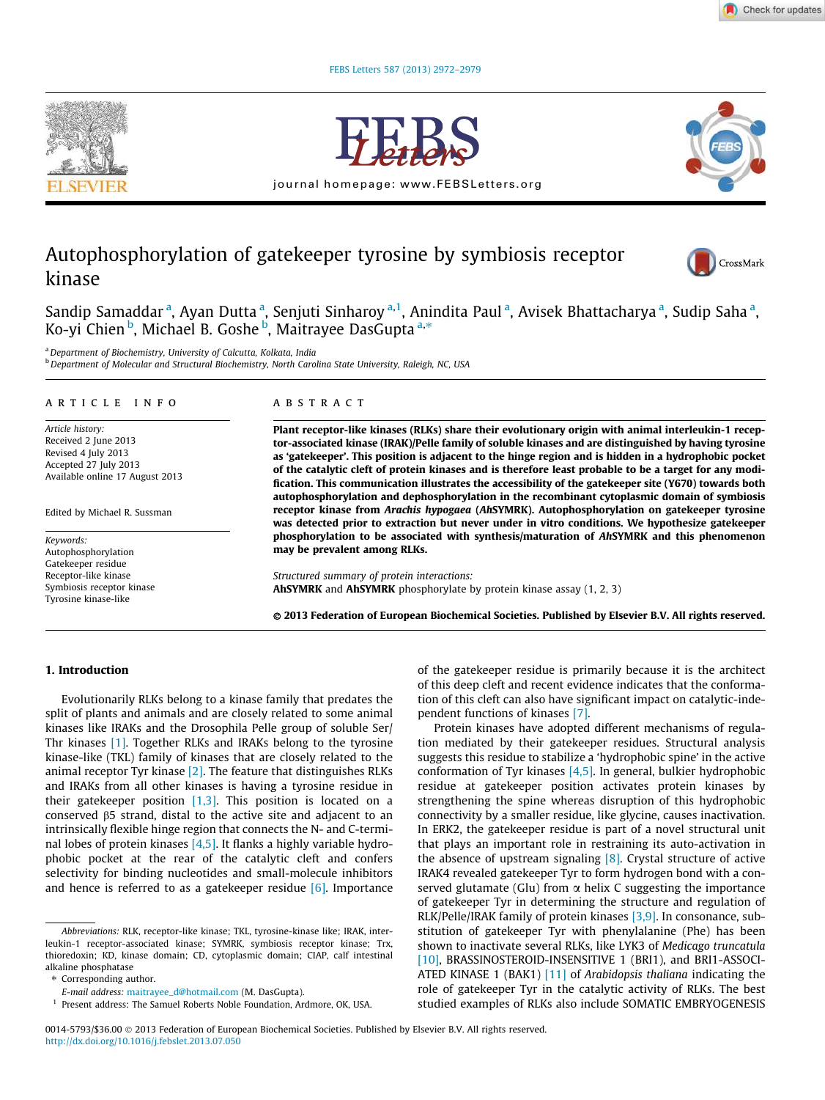



journal homepage: www.FEBSLetters.org



# Autophosphorylation of gatekeeper tyrosine by symbiosis receptor kinase



Sandip Samaddar <sup>a</sup>, Ayan Dutta <sup>a</sup>, Senjuti Sinharoy <sup>a,1</sup>, Anindita Paul <sup>a</sup>, Avisek Bhattacharya <sup>a</sup>, Sudip Saha <sup>a</sup>, sanaip samaadan , riyan Batta , senjati simlaroy , rim<br>Ko-yi Chien <sup>b</sup>, Michael B. Goshe <sup>b</sup>, Maitrayee DasGupta<sup>a,\*</sup>

<sup>a</sup> Department of Biochemistry, University of Calcutta, Kolkata, India b Department of Molecular and Structural Biochemistry, North Carolina State University, Raleigh, NC, USA

#### article info

Article history: Received 2 June 2013 Revised 4 July 2013 Accepted 27 July 2013 Available online 17 August 2013

Edited by Michael R. Sussman

Keywords: Autophosphorylation Gatekeeper residue Receptor-like kinase Symbiosis receptor kinase Tyrosine kinase-like

#### abstract

Plant receptor-like kinases (RLKs) share their evolutionary origin with animal interleukin-1 receptor-associated kinase (IRAK)/Pelle family of soluble kinases and are distinguished by having tyrosine as 'gatekeeper'. This position is adjacent to the hinge region and is hidden in a hydrophobic pocket of the catalytic cleft of protein kinases and is therefore least probable to be a target for any modification. This communication illustrates the accessibility of the gatekeeper site (Y670) towards both autophosphorylation and dephosphorylation in the recombinant cytoplasmic domain of symbiosis receptor kinase from Arachis hypogaea (AhSYMRK). Autophosphorylation on gatekeeper tyrosine was detected prior to extraction but never under in vitro conditions. We hypothesize gatekeeper phosphorylation to be associated with synthesis/maturation of AhSYMRK and this phenomenon may be prevalent among RLKs.

Structured summary of protein interactions: AhSYMRK and AhSYMRK phosphorylate by protein kinase assay (1, 2, 3)

- 2013 Federation of European Biochemical Societies. Published by Elsevier B.V. All rights reserved.

## 1. Introduction

Evolutionarily RLKs belong to a kinase family that predates the split of plants and animals and are closely related to some animal kinases like IRAKs and the Drosophila Pelle group of soluble Ser/ Thr kinases [1]. Together RLKs and IRAKs belong to the tyrosine kinase-like (TKL) family of kinases that are closely related to the animal receptor Tyr kinase [2]. The feature that distinguishes RLKs and IRAKs from all other kinases is having a tyrosine residue in their gatekeeper position  $[1,3]$ . This position is located on a conserved  $\beta$ 5 strand, distal to the active site and adjacent to an intrinsically flexible hinge region that connects the N- and C-terminal lobes of protein kinases [4,5]. It flanks a highly variable hydrophobic pocket at the rear of the catalytic cleft and confers selectivity for binding nucleotides and small-molecule inhibitors and hence is referred to as a gatekeeper residue  $[6]$ . Importance

of the gatekeeper residue is primarily because it is the architect of this deep cleft and recent evidence indicates that the conformation of this cleft can also have significant impact on catalytic-independent functions of kinases [7].

Protein kinases have adopted different mechanisms of regulation mediated by their gatekeeper residues. Structural analysis suggests this residue to stabilize a 'hydrophobic spine' in the active conformation of Tyr kinases  $[4,5]$ . In general, bulkier hydrophobic residue at gatekeeper position activates protein kinases by strengthening the spine whereas disruption of this hydrophobic connectivity by a smaller residue, like glycine, causes inactivation. In ERK2, the gatekeeper residue is part of a novel structural unit that plays an important role in restraining its auto-activation in the absence of upstream signaling  $[8]$ . Crystal structure of active IRAK4 revealed gatekeeper Tyr to form hydrogen bond with a conserved glutamate (Glu) from  $\alpha$  helix C suggesting the importance of gatekeeper Tyr in determining the structure and regulation of RLK/Pelle/IRAK family of protein kinases [3,9]. In consonance, substitution of gatekeeper Tyr with phenylalanine (Phe) has been shown to inactivate several RLKs, like LYK3 of Medicago truncatula [10], BRASSINOSTEROID-INSENSITIVE 1 (BRI1), and BRI1-ASSOCI-ATED KINASE 1 (BAK1) [11] of Arabidopsis thaliana indicating the role of gatekeeper Tyr in the catalytic activity of RLKs. The best studied examples of RLKs also include SOMATIC EMBRYOGENESIS

Abbreviations: RLK, receptor-like kinase; TKL, tyrosine-kinase like; IRAK, interleukin-1 receptor-associated kinase; SYMRK, symbiosis receptor kinase; Trx, thioredoxin; KD, kinase domain; CD, cytoplasmic domain; CIAP, calf intestinal alkaline phosphatase

<sup>⇑</sup> Corresponding author.

E-mail address: maitrayee\_d@hotmail.com (M. DasGupta).

<sup>&</sup>lt;sup>1</sup> Present address: The Samuel Roberts Noble Foundation, Ardmore, OK, USA.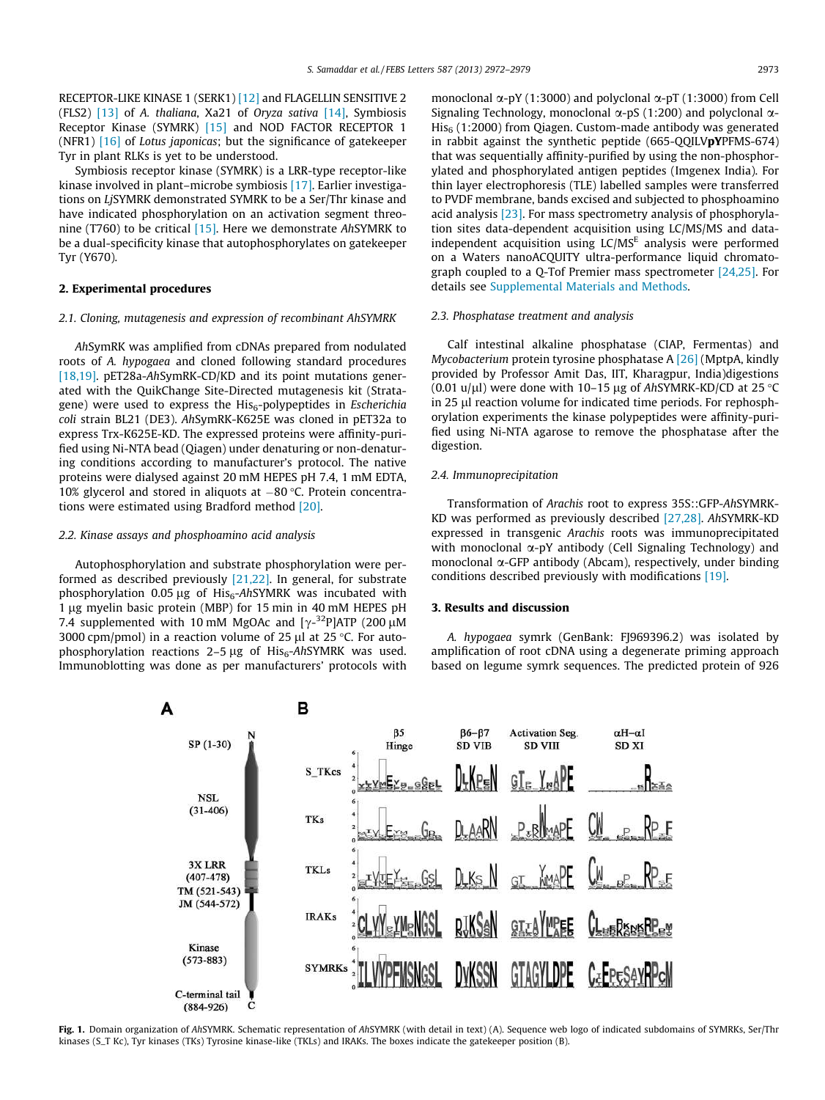RECEPTOR-LIKE KINASE 1 (SERK1) [12] and FLAGELLIN SENSITIVE 2 (FLS2) [13] of A. thaliana, Xa21 of Oryza sativa [14], Symbiosis Receptor Kinase (SYMRK) [15] and NOD FACTOR RECEPTOR 1 (NFR1)  $[16]$  of Lotus japonicas; but the significance of gatekeeper Tyr in plant RLKs is yet to be understood.

Symbiosis receptor kinase (SYMRK) is a LRR-type receptor-like kinase involved in plant–microbe symbiosis [17]. Earlier investigations on LjSYMRK demonstrated SYMRK to be a Ser/Thr kinase and have indicated phosphorylation on an activation segment threonine (T760) to be critical [15]. Here we demonstrate AhSYMRK to be a dual-specificity kinase that autophosphorylates on gatekeeper Tyr (Y670).

## 2. Experimental procedures

## 2.1. Cloning, mutagenesis and expression of recombinant AhSYMRK

AhSymRK was amplified from cDNAs prepared from nodulated roots of A. hypogaea and cloned following standard procedures [18,19]. pET28a-AhSymRK-CD/KD and its point mutations generated with the QuikChange Site-Directed mutagenesis kit (Stratagene) were used to express the  $His<sub>6</sub>-polypeptides$  in *Escherichia* coli strain BL21 (DE3). AhSymRK-K625E was cloned in pET32a to express Trx-K625E-KD. The expressed proteins were affinity-purified using Ni-NTA bead (Qiagen) under denaturing or non-denaturing conditions according to manufacturer's protocol. The native proteins were dialysed against 20 mM HEPES pH 7.4, 1 mM EDTA, 10% glycerol and stored in aliquots at  $-80$  °C. Protein concentrations were estimated using Bradford method [20].

# 2.2. Kinase assays and phosphoamino acid analysis

Autophosphorylation and substrate phosphorylation were performed as described previously [21,22]. In general, for substrate phosphorylation 0.05  $\mu$ g of His<sub>6</sub>-AhSYMRK was incubated with 1 µg myelin basic protein (MBP) for 15 min in 40 mM HEPES pH 7.4 supplemented with 10 mM MgOAc and  $[\gamma^{-32}P]$ ATP (200 µM 3000 cpm/pmol) in a reaction volume of 25  $\mu$ l at 25 °C. For autophosphorylation reactions  $2-5 \mu g$  of His<sub>6</sub>-AhSYMRK was used. Immunoblotting was done as per manufacturers' protocols with monoclonal  $\alpha$ -pY (1:3000) and polyclonal  $\alpha$ -pT (1:3000) from Cell Signaling Technology, monoclonal  $\alpha$ -pS (1:200) and polyclonal  $\alpha$ - $His<sub>6</sub>$  (1:2000) from Oiagen. Custom-made antibody was generated in rabbit against the synthetic peptide (665-QQILVpYPFMS-674) that was sequentially affinity-purified by using the non-phosphorylated and phosphorylated antigen peptides (Imgenex India). For thin layer electrophoresis (TLE) labelled samples were transferred to PVDF membrane, bands excised and subjected to phosphoamino acid analysis [23]. For mass spectrometry analysis of phosphorylation sites data-dependent acquisition using LC/MS/MS and dataindependent acquisition using  $LC/MS<sup>E</sup>$  analysis were performed on a Waters nanoACQUITY ultra-performance liquid chromatograph coupled to a Q-Tof Premier mass spectrometer [24,25]. For details see Supplemental Materials and Methods.

#### 2.3. Phosphatase treatment and analysis

Calf intestinal alkaline phosphatase (CIAP, Fermentas) and Mycobacterium protein tyrosine phosphatase  $A$  [26] (MptpA, kindly provided by Professor Amit Das, IIT, Kharagpur, India)digestions (0.01 u/µl) were done with 10–15 µg of AhSYMRK-KD/CD at 25  $\degree$ C in 25 µl reaction volume for indicated time periods. For rephosphorylation experiments the kinase polypeptides were affinity-purified using Ni-NTA agarose to remove the phosphatase after the digestion.

### 2.4. Immunoprecipitation

Transformation of Arachis root to express 35S::GFP-AhSYMRK-KD was performed as previously described [27,28]. AhSYMRK-KD expressed in transgenic Arachis roots was immunoprecipitated with monoclonal  $\alpha$ -pY antibody (Cell Signaling Technology) and monoclonal  $\alpha$ -GFP antibody (Abcam), respectively, under binding conditions described previously with modifications [19].

#### 3. Results and discussion

A. hypogaea symrk (GenBank: FJ969396.2) was isolated by amplification of root cDNA using a degenerate priming approach based on legume symrk sequences. The predicted protein of 926



Fig. 1. Domain organization of AhSYMRK. Schematic representation of AhSYMRK (with detail in text) (A). Sequence web logo of indicated subdomains of SYMRKs, Ser/Thr kinases (S\_T Kc), Tyr kinases (TKs) Tyrosine kinase-like (TKLs) and IRAKs. The boxes indicate the gatekeeper position (B).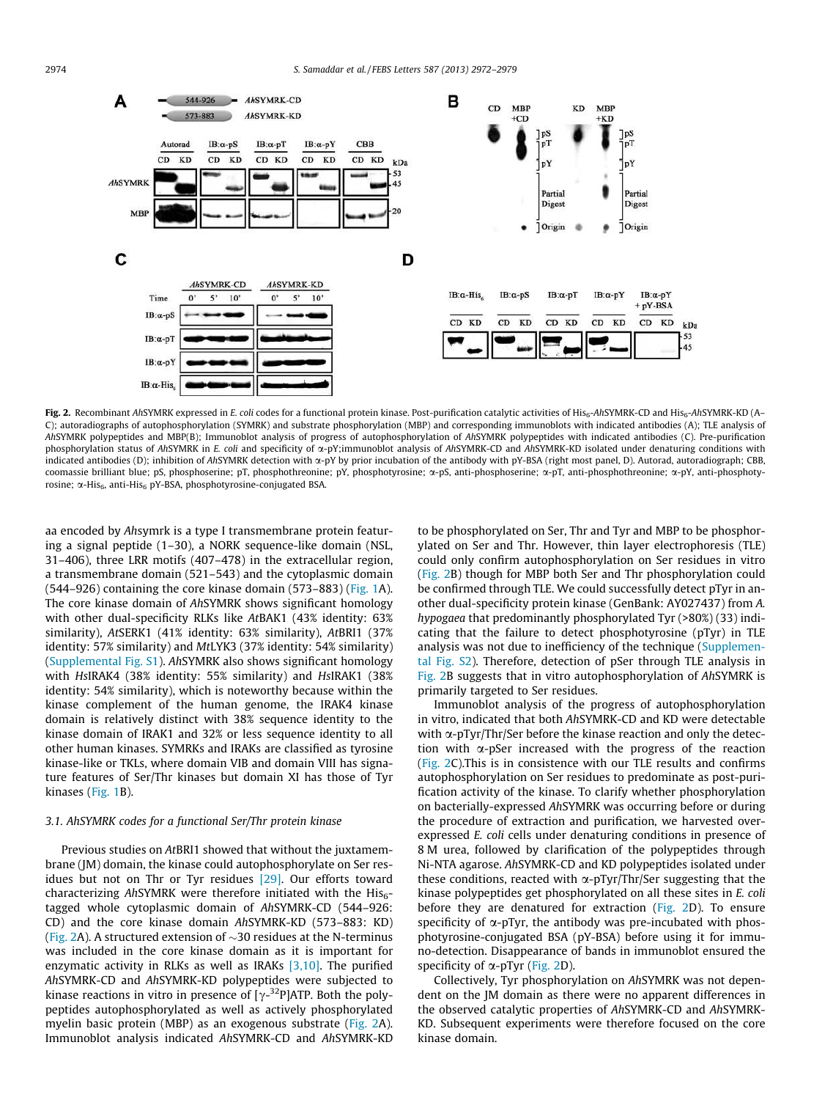

Fig. 2. Recombinant AhSYMRK expressed in E. coli codes for a functional protein kinase. Post-purification catalytic activities of His<sub>6</sub>-AhSYMRK-CD and His<sub>6</sub>-AhSYMRK-KD (A-C); autoradiographs of autophosphorylation (SYMRK) and substrate phosphorylation (MBP) and corresponding immunoblots with indicated antibodies (A); TLE analysis of AhSYMRK polypeptides and MBP(B); Immunoblot analysis of progress of autophosphorylation of AhSYMRK polypeptides with indicated antibodies (C). Pre-purification phosphorylation status of AhSYMRK in E. coli and specificity of  $\alpha$ -pY;immunoblot analysis of AhSYMRK-CD and AhSYMRK-KD isolated under denaturing conditions with indicated antibodies (D); inhibition of AhSYMRK detection with  $\alpha$ -pY by prior incubation of the antibody with pY-BSA (right most panel, D). Autorad, autoradiograph; CBB, coomassie brilliant blue; pS, phosphoserine; pT, phosphothreonine; pY, phosphotyrosine; a-pS, anti-phosphoserine; a-pT, anti-phosphothreonine; a-pY, anti-phosphotyrosine;  $\alpha$ -His<sub>6</sub>, anti-His<sub>6</sub> pY-BSA, phosphotyrosine-conjugated BSA.

aa encoded by Ahsymrk is a type I transmembrane protein featuring a signal peptide (1–30), a NORK sequence-like domain (NSL, 31–406), three LRR motifs (407–478) in the extracellular region, a transmembrane domain (521–543) and the cytoplasmic domain  $(544–926)$  containing the core kinase domain  $(573–883)$  (Fig. 1A). The core kinase domain of AhSYMRK shows significant homology with other dual-specificity RLKs like AtBAK1 (43% identity: 63% similarity), AtSERK1 (41% identity: 63% similarity), AtBRI1 (37% identity: 57% similarity) and MtLYK3 (37% identity: 54% similarity) (Supplemental Fig. S1). AhSYMRK also shows significant homology with HsIRAK4 (38% identity: 55% similarity) and HsIRAK1 (38% identity: 54% similarity), which is noteworthy because within the kinase complement of the human genome, the IRAK4 kinase domain is relatively distinct with 38% sequence identity to the kinase domain of IRAK1 and 32% or less sequence identity to all other human kinases. SYMRKs and IRAKs are classified as tyrosine kinase-like or TKLs, where domain VIB and domain VIII has signature features of Ser/Thr kinases but domain XI has those of Tyr kinases (Fig. 1B).

### 3.1. AhSYMRK codes for a functional Ser/Thr protein kinase

Previous studies on AtBRI1 showed that without the juxtamembrane (JM) domain, the kinase could autophosphorylate on Ser residues but not on Thr or Tyr residues [29]. Our efforts toward characterizing AhSYMRK were therefore initiated with the  $His<sub>6</sub>$ tagged whole cytoplasmic domain of AhSYMRK-CD (544–926: CD) and the core kinase domain AhSYMRK-KD (573–883: KD) (Fig. 2A). A structured extension of  $\sim$ 30 residues at the N-terminus was included in the core kinase domain as it is important for enzymatic activity in RLKs as well as IRAKs  $[3,10]$ . The purified AhSYMRK-CD and AhSYMRK-KD polypeptides were subjected to kinase reactions in vitro in presence of [ $\gamma$ -<sup>32</sup>P]ATP. Both the polypeptides autophosphorylated as well as actively phosphorylated myelin basic protein (MBP) as an exogenous substrate (Fig. 2A). Immunoblot analysis indicated AhSYMRK-CD and AhSYMRK-KD to be phosphorylated on Ser, Thr and Tyr and MBP to be phosphorylated on Ser and Thr. However, thin layer electrophoresis (TLE) could only confirm autophosphorylation on Ser residues in vitro (Fig. 2B) though for MBP both Ser and Thr phosphorylation could be confirmed through TLE. We could successfully detect pTyr in another dual-specificity protein kinase (GenBank: AY027437) from A. hypogaea that predominantly phosphorylated Tyr (>80%) (33) indicating that the failure to detect phosphotyrosine (pTyr) in TLE analysis was not due to inefficiency of the technique (Supplemental Fig. S2). Therefore, detection of pSer through TLE analysis in Fig. 2B suggests that in vitro autophosphorylation of AhSYMRK is primarily targeted to Ser residues.

Immunoblot analysis of the progress of autophosphorylation in vitro, indicated that both AhSYMRK-CD and KD were detectable with  $\alpha$ -pTyr/Thr/Ser before the kinase reaction and only the detection with  $\alpha$ -pSer increased with the progress of the reaction (Fig. 2C).This is in consistence with our TLE results and confirms autophosphorylation on Ser residues to predominate as post-purification activity of the kinase. To clarify whether phosphorylation on bacterially-expressed AhSYMRK was occurring before or during the procedure of extraction and purification, we harvested overexpressed E. coli cells under denaturing conditions in presence of 8 M urea, followed by clarification of the polypeptides through Ni-NTA agarose. AhSYMRK-CD and KD polypeptides isolated under these conditions, reacted with  $\alpha$ -pTyr/Thr/Ser suggesting that the kinase polypeptides get phosphorylated on all these sites in E. coli before they are denatured for extraction (Fig. 2D). To ensure specificity of  $\alpha$ -pTyr, the antibody was pre-incubated with phosphotyrosine-conjugated BSA (pY-BSA) before using it for immuno-detection. Disappearance of bands in immunoblot ensured the specificity of  $\alpha$ -pTyr (Fig. 2D).

Collectively, Tyr phosphorylation on AhSYMRK was not dependent on the JM domain as there were no apparent differences in the observed catalytic properties of AhSYMRK-CD and AhSYMRK-KD. Subsequent experiments were therefore focused on the core kinase domain.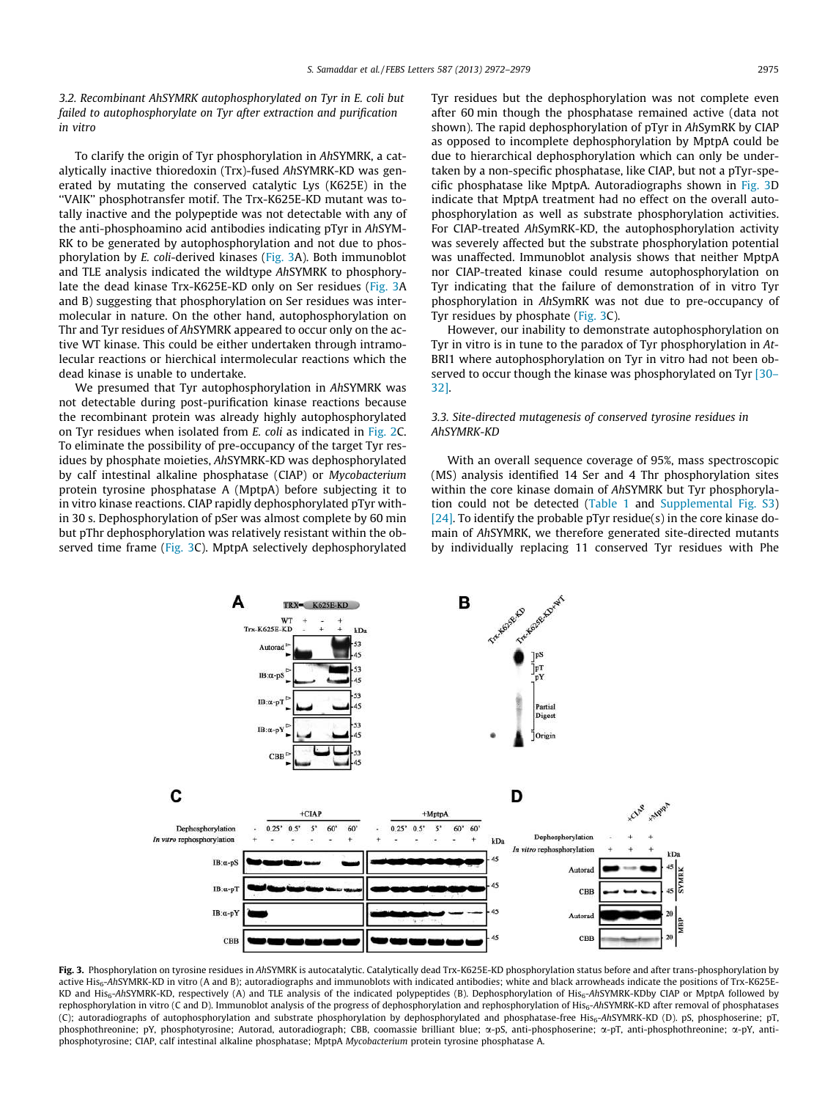3.2. Recombinant AhSYMRK autophosphorylated on Tyr in E. coli but failed to autophosphorylate on Tyr after extraction and purification in vitro

To clarify the origin of Tyr phosphorylation in AhSYMRK, a catalytically inactive thioredoxin (Trx)-fused AhSYMRK-KD was generated by mutating the conserved catalytic Lys (K625E) in the ''VAIK'' phosphotransfer motif. The Trx-K625E-KD mutant was totally inactive and the polypeptide was not detectable with any of the anti-phosphoamino acid antibodies indicating pTyr in AhSYM-RK to be generated by autophosphorylation and not due to phosphorylation by E. coli-derived kinases (Fig. 3A). Both immunoblot and TLE analysis indicated the wildtype AhSYMRK to phosphorylate the dead kinase Trx-K625E-KD only on Ser residues (Fig. 3A and B) suggesting that phosphorylation on Ser residues was intermolecular in nature. On the other hand, autophosphorylation on Thr and Tyr residues of AhSYMRK appeared to occur only on the active WT kinase. This could be either undertaken through intramolecular reactions or hierchical intermolecular reactions which the dead kinase is unable to undertake.

We presumed that Tyr autophosphorylation in AhSYMRK was not detectable during post-purification kinase reactions because the recombinant protein was already highly autophosphorylated on Tyr residues when isolated from E. coli as indicated in Fig. 2C. To eliminate the possibility of pre-occupancy of the target Tyr residues by phosphate moieties, AhSYMRK-KD was dephosphorylated by calf intestinal alkaline phosphatase (CIAP) or Mycobacterium protein tyrosine phosphatase A (MptpA) before subjecting it to in vitro kinase reactions. CIAP rapidly dephosphorylated pTyr within 30 s. Dephosphorylation of pSer was almost complete by 60 min but pThr dephosphorylation was relatively resistant within the observed time frame (Fig. 3C). MptpA selectively dephosphorylated Tyr residues but the dephosphorylation was not complete even after 60 min though the phosphatase remained active (data not shown). The rapid dephosphorylation of pTyr in AhSymRK by CIAP as opposed to incomplete dephosphorylation by MptpA could be due to hierarchical dephosphorylation which can only be undertaken by a non-specific phosphatase, like CIAP, but not a pTyr-specific phosphatase like MptpA. Autoradiographs shown in Fig. 3D indicate that MptpA treatment had no effect on the overall autophosphorylation as well as substrate phosphorylation activities. For CIAP-treated AhSymRK-KD, the autophosphorylation activity was severely affected but the substrate phosphorylation potential was unaffected. Immunoblot analysis shows that neither MptpA nor CIAP-treated kinase could resume autophosphorylation on Tyr indicating that the failure of demonstration of in vitro Tyr phosphorylation in AhSymRK was not due to pre-occupancy of Tyr residues by phosphate (Fig. 3C).

However, our inability to demonstrate autophosphorylation on Tyr in vitro is in tune to the paradox of Tyr phosphorylation in At-BRI1 where autophosphorylation on Tyr in vitro had not been observed to occur though the kinase was phosphorylated on Tyr [30– 32].

# 3.3. Site-directed mutagenesis of conserved tyrosine residues in AhSYMRK-KD

With an overall sequence coverage of 95%, mass spectroscopic (MS) analysis identified 14 Ser and 4 Thr phosphorylation sites within the core kinase domain of AhSYMRK but Tyr phosphorylation could not be detected (Table 1 and Supplemental Fig. S3) [24]. To identify the probable pTyr residue(s) in the core kinase domain of AhSYMRK, we therefore generated site-directed mutants by individually replacing 11 conserved Tyr residues with Phe



Fig. 3. Phosphorylation on tyrosine residues in AhSYMRK is autocatalytic. Catalytically dead Trx-K625E-KD phosphorylation status before and after trans-phosphorylation by active His<sub>6</sub>-AhSYMRK-KD in vitro (A and B); autoradiographs and immunoblots with indicated antibodies; white and black arrowheads indicate the positions of Trx-K625E-KD and His<sub>6</sub>-AhSYMRK-KD, respectively (A) and TLE analysis of the indicated polypeptides (B). Dephosphorylation of His<sub>6</sub>-AhSYMRK-KDby CIAP or MptpA followed by rephosphorylation in vitro (C and D). Immunoblot analysis of the progress of dephosphorylation and rephosphorylation of His<sub>6</sub>-AhSYMRK-KD after removal of phosphatases (C); autoradiographs of autophosphorylation and substrate phosphorylation by dephosphorylated and phosphatase-free His6-AhSYMRK-KD (D). pS, phosphoserine; pT, phosphothreonine; pY, phosphotyrosine; Autorad, autoradiograph; CBB, coomassie brilliant blue;  $\alpha$ -pS, anti-phosphoserine;  $\alpha$ -pT, anti-phosphothreonine;  $\alpha$ -pY, antiphosphotyrosine; CIAP, calf intestinal alkaline phosphatase; MptpA Mycobacterium protein tyrosine phosphatase A.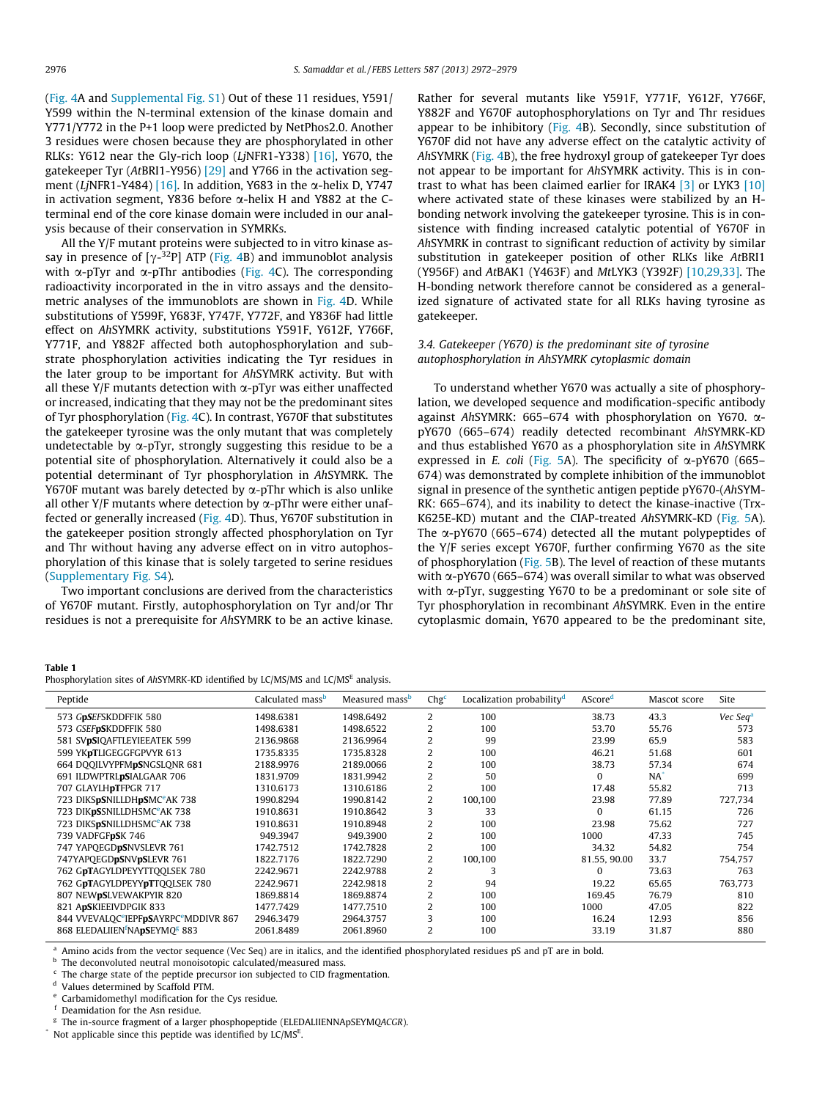(Fig. 4A and Supplemental Fig. S1) Out of these 11 residues, Y591/ Y599 within the N-terminal extension of the kinase domain and Y771/Y772 in the P+1 loop were predicted by NetPhos2.0. Another 3 residues were chosen because they are phosphorylated in other RLKs: Y612 near the Gly-rich loop (LjNFR1-Y338)  $[16]$ , Y670, the gatekeeper Tyr (AtBRI1-Y956) [29] and Y766 in the activation segment (LjNFR1-Y484) [16]. In addition, Y683 in the  $\alpha$ -helix D, Y747 in activation segment, Y836 before  $\alpha$ -helix H and Y882 at the Cterminal end of the core kinase domain were included in our analysis because of their conservation in SYMRKs.

All the Y/F mutant proteins were subjected to in vitro kinase assay in presence of [ $\gamma$ -<sup>32</sup>P] ATP (Fig. 4B) and immunoblot analysis with  $\alpha$ -pTyr and  $\alpha$ -pThr antibodies (Fig. 4C). The corresponding radioactivity incorporated in the in vitro assays and the densitometric analyses of the immunoblots are shown in Fig. 4D. While substitutions of Y599F, Y683F, Y747F, Y772F, and Y836F had little effect on AhSYMRK activity, substitutions Y591F, Y612F, Y766F, Y771F, and Y882F affected both autophosphorylation and substrate phosphorylation activities indicating the Tyr residues in the later group to be important for AhSYMRK activity. But with all these Y/F mutants detection with  $\alpha$ -pTyr was either unaffected or increased, indicating that they may not be the predominant sites of Tyr phosphorylation (Fig. 4C). In contrast, Y670F that substitutes the gatekeeper tyrosine was the only mutant that was completely undetectable by  $\alpha$ -pTyr, strongly suggesting this residue to be a potential site of phosphorylation. Alternatively it could also be a potential determinant of Tyr phosphorylation in AhSYMRK. The Y670F mutant was barely detected by  $\alpha$ -pThr which is also unlike all other Y/F mutants where detection by  $\alpha$ -pThr were either unaffected or generally increased (Fig. 4D). Thus, Y670F substitution in the gatekeeper position strongly affected phosphorylation on Tyr and Thr without having any adverse effect on in vitro autophosphorylation of this kinase that is solely targeted to serine residues (Supplementary Fig. S4).

Two important conclusions are derived from the characteristics of Y670F mutant. Firstly, autophosphorylation on Tyr and/or Thr residues is not a prerequisite for AhSYMRK to be an active kinase. Rather for several mutants like Y591F, Y771F, Y612F, Y766F, Y882F and Y670F autophosphorylations on Tyr and Thr residues appear to be inhibitory (Fig. 4B). Secondly, since substitution of Y670F did not have any adverse effect on the catalytic activity of AhSYMRK (Fig. 4B), the free hydroxyl group of gatekeeper Tyr does not appear to be important for AhSYMRK activity. This is in contrast to what has been claimed earlier for IRAK4  $\left[3\right]$  or LYK3  $\left[10\right]$ where activated state of these kinases were stabilized by an Hbonding network involving the gatekeeper tyrosine. This is in consistence with finding increased catalytic potential of Y670F in AhSYMRK in contrast to significant reduction of activity by similar substitution in gatekeeper position of other RLKs like AtBRI1 (Y956F) and AtBAK1 (Y463F) and MtLYK3 (Y392F) [10,29,33]. The H-bonding network therefore cannot be considered as a generalized signature of activated state for all RLKs having tyrosine as gatekeeper.

# 3.4. Gatekeeper (Y670) is the predominant site of tyrosine autophosphorylation in AhSYMRK cytoplasmic domain

To understand whether Y670 was actually a site of phosphorylation, we developed sequence and modification-specific antibody against AhSYMRK: 665–674 with phosphorylation on Y670. apY670 (665–674) readily detected recombinant AhSYMRK-KD and thus established Y670 as a phosphorylation site in AhSYMRK expressed in E. coli (Fig. 5A). The specificity of  $\alpha$ -pY670 (665– 674) was demonstrated by complete inhibition of the immunoblot signal in presence of the synthetic antigen peptide pY670-(AhSYM-RK: 665–674), and its inability to detect the kinase-inactive (Trx-K625E-KD) mutant and the CIAP-treated AhSYMRK-KD (Fig. 5A). The  $\alpha$ -pY670 (665–674) detected all the mutant polypeptides of the Y/F series except Y670F, further confirming Y670 as the site of phosphorylation (Fig. 5B). The level of reaction of these mutants with  $\alpha$ -pY670 (665–674) was overall similar to what was observed with  $\alpha$ -pTyr, suggesting Y670 to be a predominant or sole site of Tyr phosphorylation in recombinant AhSYMRK. Even in the entire cytoplasmic domain, Y670 appeared to be the predominant site,

#### Table 1

Phosphorylation sites of AhSYMRK-KD identified by LC/MS/MS and LC/MS<sup>E</sup> analysis.

| Peptide                                                                | Calculated mass <sup>p</sup> | Measured mass <sup>b</sup> | Chg <sup>c</sup> | Localization probability <sup>d</sup> | AScored      | Mascot score | Site                 |
|------------------------------------------------------------------------|------------------------------|----------------------------|------------------|---------------------------------------|--------------|--------------|----------------------|
| 573 GpSEFSKDDFFIK 580                                                  | 1498.6381                    | 1498.6492                  | 2                | 100                                   | 38.73        | 43.3         | Vec Seq <sup>a</sup> |
| 573 GSEFpSKDDFFIK 580                                                  | 1498.6381                    | 1498.6522                  | 2                | 100                                   | 53.70        | 55.76        | 573                  |
| 581 SVpSIQAFTLEYIEEATEK 599                                            | 2136.9868                    | 2136.9964                  | 2                | 99                                    | 23.99        | 65.9         | 583                  |
| 599 YKpTLIGEGGFGPVYR 613                                               | 1735.8335                    | 1735.8328                  | 2                | 100                                   | 46.21        | 51.68        | 601                  |
| 664 DOOILVYPFMpSNGSLONR 681                                            | 2188.9976                    | 2189.0066                  | 2                | 100                                   | 38.73        | 57.34        | 674                  |
| 691 ILDWPTRLpSIALGAAR 706                                              | 1831.9709                    | 1831.9942                  | 2                | 50                                    | $\Omega$     | $NA^*$       | 699                  |
| 707 GLAYLHDTFPGR 717                                                   | 1310.6173                    | 1310.6186                  | 2                | 100                                   | 17.48        | 55.82        | 713                  |
| 723 DIKSpSNILLDHpSMC <sup>e</sup> AK 738                               | 1990.8294                    | 1990.8142                  | 2                | 100,100                               | 23.98        | 77.89        | 727.734              |
| 723 DIK <b>pS</b> SNILLDHSMC <sup>e</sup> AK 738                       | 1910.8631                    | 1910.8642                  | 3                | 33                                    | $\Omega$     | 61.15        | 726                  |
| 723 DIKSpSNILLDHSMC <sup>e</sup> AK 738                                | 1910.8631                    | 1910.8948                  | 2                | 100                                   | 23.98        | 75.62        | 727                  |
| 739 VADFGFpSK 746                                                      | 949.3947                     | 949.3900                   | 2                | 100                                   | 1000         | 47.33        | 745                  |
| 747 YAPOEGDpSNVSLEVR 761                                               | 1742.7512                    | 1742.7828                  | 2                | 100                                   | 34.32        | 54.82        | 754                  |
| 747YAPQEGDpSNVpSLEVR 761                                               | 1822.7176                    | 1822.7290                  | 2                | 100,100                               | 81.55, 90.00 | 33.7         | 754.757              |
| 762 GpTAGYLDPEYYTTQQLSEK 780                                           | 2242.9671                    | 2242.9788                  | 2                |                                       | $\Omega$     | 73.63        | 763                  |
| 762 GpTAGYLDPEYYpTTQQLSEK 780                                          | 2242.9671                    | 2242.9818                  | 2                | 94                                    | 19.22        | 65.65        | 763.773              |
| 807 NEWPSLVEWAKPYIR 820                                                | 1869.8814                    | 1869.8874                  | 2                | 100                                   | 169.45       | 76.79        | 810                  |
| 821 ApSKIEEIVDPGIK 833                                                 | 1477.7429                    | 1477.7510                  | 2                | 100                                   | 1000         | 47.05        | 822                  |
| 844 VVEVALOC <sup>e</sup> IEPF <b>pS</b> AYRPC <sup>e</sup> MDDIVR 867 | 2946.3479                    | 2964.3757                  | 3                | 100                                   | 16.24        | 12.93        | 856                  |
| 868 ELEDALIIEN <sup>f</sup> NApSEYMO <sup>g</sup> 883                  | 2061.8489                    | 2061.8960                  | 2                | 100                                   | 33.19        | 31.87        | 880                  |

<sup>a</sup> Amino acids from the vector sequence (Vec Seq) are in italics, and the identified phosphorylated residues pS and pT are in bold.

b The deconvoluted neutral monoisotopic calculated/measured mass.

c The charge state of the peptide precursor ion subjected to CID fragmentation.

<sup>d</sup> Values determined by Scaffold PTM.

e Carbamidomethyl modification for the Cys residue.

Deamidation for the Asn residue.

<sup>g</sup> The in-source fragment of a larger phosphopeptide (ELEDALIIENNApSEYMQACGR).

\* Not applicable since this peptide was identified by LC/MS<sup>E</sup> .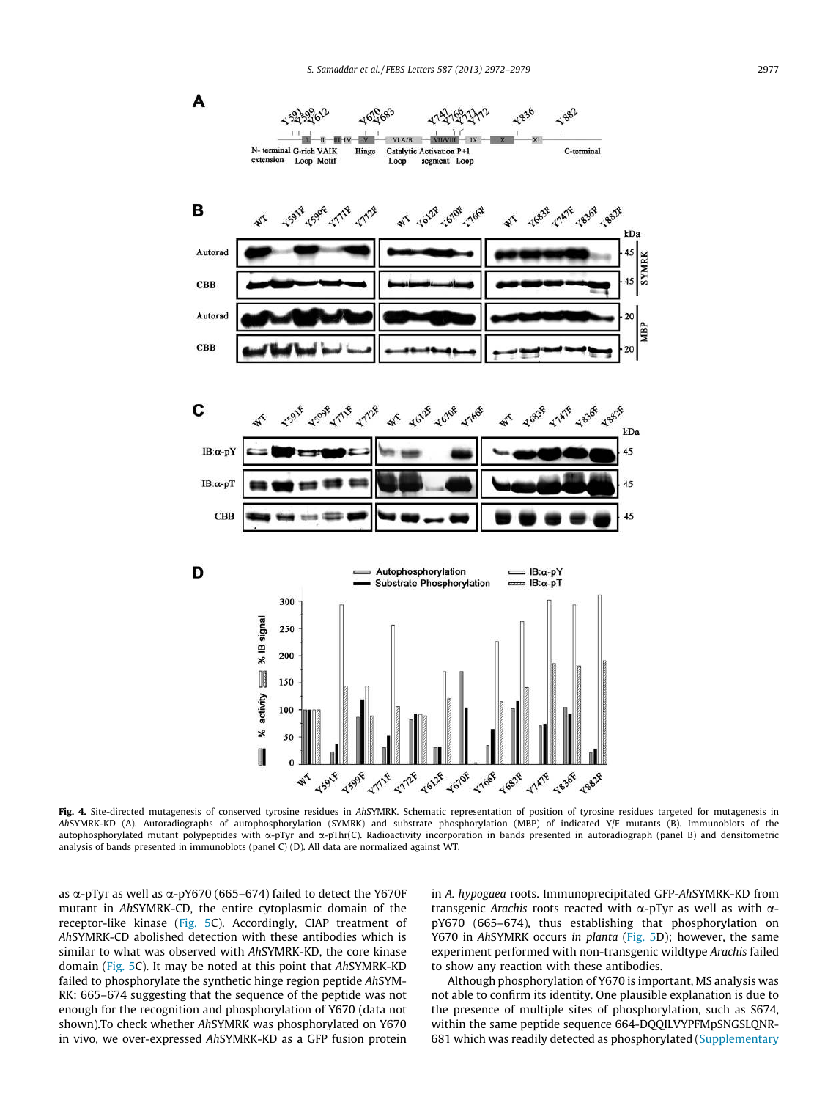



Fig. 4. Site-directed mutagenesis of conserved tyrosine residues in AhSYMRK. Schematic representation of position of tyrosine residues targeted for mutagenesis in AhSYMRK-KD (A). Autoradiographs of autophosphorylation (SYMRK) and substrate phosphorylation (MBP) of indicated Y/F mutants (B). Immunoblots of the autophosphorylated mutant polypeptides with x-pTyr and x-pThr(C). Radioactivity incorporation in bands presented in autoradiograph (panel B) and densitometric analysis of bands presented in immunoblots (panel C) (D). All data are normalized against WT.

as  $\alpha$ -pTyr as well as  $\alpha$ -pY670 (665–674) failed to detect the Y670F mutant in AhSYMRK-CD, the entire cytoplasmic domain of the receptor-like kinase (Fig. 5C). Accordingly, CIAP treatment of AhSYMRK-CD abolished detection with these antibodies which is similar to what was observed with AhSYMRK-KD, the core kinase domain (Fig. 5C). It may be noted at this point that AhSYMRK-KD failed to phosphorylate the synthetic hinge region peptide AhSYM-RK: 665–674 suggesting that the sequence of the peptide was not enough for the recognition and phosphorylation of Y670 (data not shown).To check whether AhSYMRK was phosphorylated on Y670 in vivo, we over-expressed AhSYMRK-KD as a GFP fusion protein in A. hypogaea roots. Immunoprecipitated GFP-AhSYMRK-KD from transgenic Arachis roots reacted with  $\alpha$ -pTyr as well as with  $\alpha$ pY670 (665–674), thus establishing that phosphorylation on Y670 in AhSYMRK occurs in planta (Fig. 5D); however, the same experiment performed with non-transgenic wildtype Arachis failed to show any reaction with these antibodies.

MBP

Although phosphorylation of Y670 is important, MS analysis was not able to confirm its identity. One plausible explanation is due to the presence of multiple sites of phosphorylation, such as S674, within the same peptide sequence 664-DQQILVYPFMpSNGSLQNR-681 which was readily detected as phosphorylated (Supplementary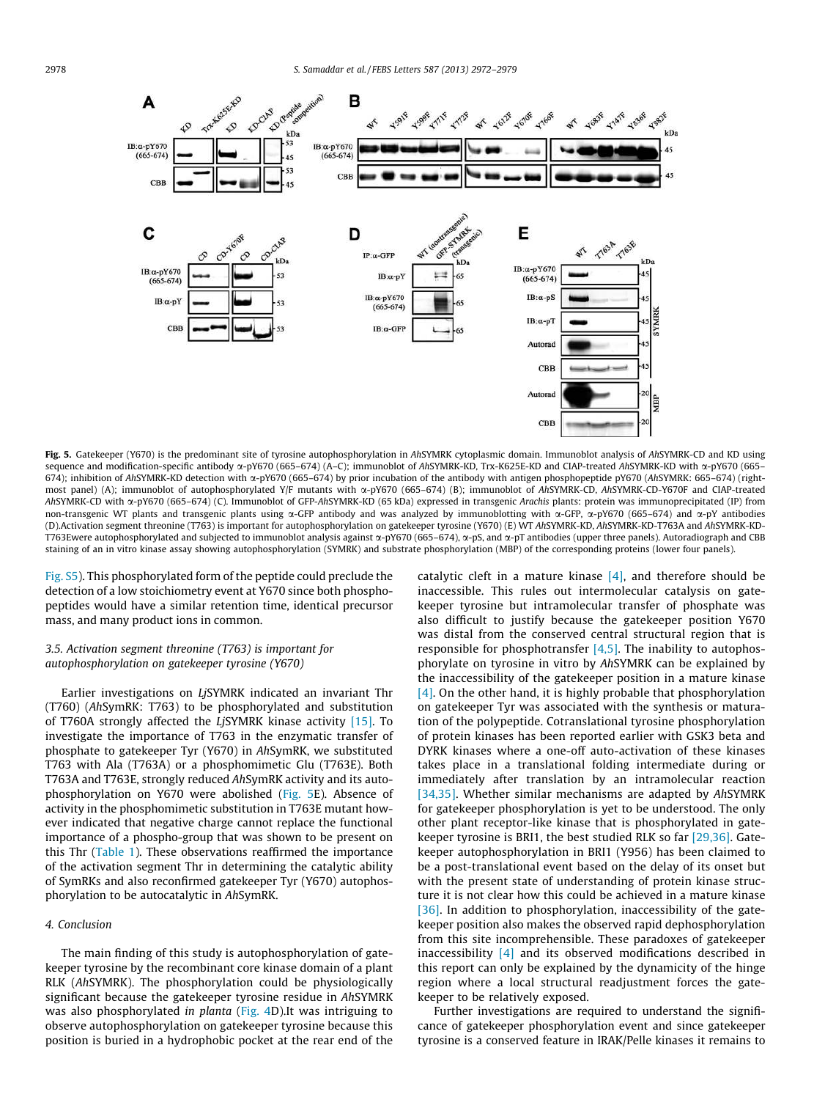

Fig. 5. Gatekeeper (Y670) is the predominant site of tyrosine autophosphorylation in AhSYMRK cytoplasmic domain. Immunoblot analysis of AhSYMRK-CD and KD using sequence and modification-specific antibody  $\alpha$ -pY670 (665–674) (A–C); immunoblot of AhSYMRK-KD, Trx-K625E-KD and CIAP-treated AhSYMRK-KD with  $\alpha$ -pY670 (665– 674); inhibition of AhSYMRK-KD detection with a-pY670 (665–674) by prior incubation of the antibody with antigen phosphopeptide pY670 (AhSYMRK: 665–674) (rightmost panel) (A); immunoblot of autophosphorylated Y/F mutants with  $\alpha$ -pY670 (665–674) (B); immunoblot of AhSYMRK-CD, AhSYMRK-CD-Y670F and CIAP-treated AhSYMRK-CD with a-pY670 (665–674) (C). Immunoblot of GFP-AhSYMRK-KD (65 kDa) expressed in transgenic Arachis plants: protein was immunoprecipitated (IP) from non-transgenic WT plants and transgenic plants using  $\alpha$ -GFP antibody and was analyzed by immunoblotting with  $\alpha$ -GFP,  $\alpha$ -pY670 (665–674) and  $\alpha$ -pY antibodies (D).Activation segment threonine (T763) is important for autophosphorylation on gatekeeper tyrosine (Y670) (E) WT AhSYMRK-KD, AhSYMRK-KD-T763A and AhSYMRK-KD-T763Ewere autophosphorylated and subjected to immunoblot analysis against  $\alpha$ -pY670 (665–674),  $\alpha$ -pS, and  $\alpha$ -pT antibodies (upper three panels). Autoradiograph and CBB staining of an in vitro kinase assay showing autophosphorylation (SYMRK) and substrate phosphorylation (MBP) of the corresponding proteins (lower four panels).

Fig. S5). This phosphorylated form of the peptide could preclude the detection of a low stoichiometry event at Y670 since both phosphopeptides would have a similar retention time, identical precursor mass, and many product ions in common.

# 3.5. Activation segment threonine (T763) is important for autophosphorylation on gatekeeper tyrosine (Y670)

Earlier investigations on LjSYMRK indicated an invariant Thr (T760) (AhSymRK: T763) to be phosphorylated and substitution of T760A strongly affected the LjSYMRK kinase activity [15]. To investigate the importance of T763 in the enzymatic transfer of phosphate to gatekeeper Tyr (Y670) in AhSymRK, we substituted T763 with Ala (T763A) or a phosphomimetic Glu (T763E). Both T763A and T763E, strongly reduced AhSymRK activity and its autophosphorylation on Y670 were abolished (Fig. 5E). Absence of activity in the phosphomimetic substitution in T763E mutant however indicated that negative charge cannot replace the functional importance of a phospho-group that was shown to be present on this Thr (Table 1). These observations reaffirmed the importance of the activation segment Thr in determining the catalytic ability of SymRKs and also reconfirmed gatekeeper Tyr (Y670) autophosphorylation to be autocatalytic in AhSymRK.

#### 4. Conclusion

The main finding of this study is autophosphorylation of gatekeeper tyrosine by the recombinant core kinase domain of a plant RLK (AhSYMRK). The phosphorylation could be physiologically significant because the gatekeeper tyrosine residue in AhSYMRK was also phosphorylated in planta (Fig. 4D).It was intriguing to observe autophosphorylation on gatekeeper tyrosine because this position is buried in a hydrophobic pocket at the rear end of the catalytic cleft in a mature kinase  $[4]$ , and therefore should be inaccessible. This rules out intermolecular catalysis on gatekeeper tyrosine but intramolecular transfer of phosphate was also difficult to justify because the gatekeeper position Y670 was distal from the conserved central structural region that is responsible for phosphotransfer  $[4,5]$ . The inability to autophosphorylate on tyrosine in vitro by AhSYMRK can be explained by the inaccessibility of the gatekeeper position in a mature kinase [4]. On the other hand, it is highly probable that phosphorylation on gatekeeper Tyr was associated with the synthesis or maturation of the polypeptide. Cotranslational tyrosine phosphorylation of protein kinases has been reported earlier with GSK3 beta and DYRK kinases where a one-off auto-activation of these kinases takes place in a translational folding intermediate during or immediately after translation by an intramolecular reaction [34,35]. Whether similar mechanisms are adapted by AhSYMRK for gatekeeper phosphorylation is yet to be understood. The only other plant receptor-like kinase that is phosphorylated in gatekeeper tyrosine is BRI1, the best studied RLK so far [29,36]. Gatekeeper autophosphorylation in BRI1 (Y956) has been claimed to be a post-translational event based on the delay of its onset but with the present state of understanding of protein kinase structure it is not clear how this could be achieved in a mature kinase [ $36$ ]. In addition to phosphorylation, inaccessibility of the gatekeeper position also makes the observed rapid dephosphorylation from this site incomprehensible. These paradoxes of gatekeeper inaccessibility  $[4]$  and its observed modifications described in this report can only be explained by the dynamicity of the hinge region where a local structural readjustment forces the gatekeeper to be relatively exposed.

Further investigations are required to understand the significance of gatekeeper phosphorylation event and since gatekeeper tyrosine is a conserved feature in IRAK/Pelle kinases it remains to